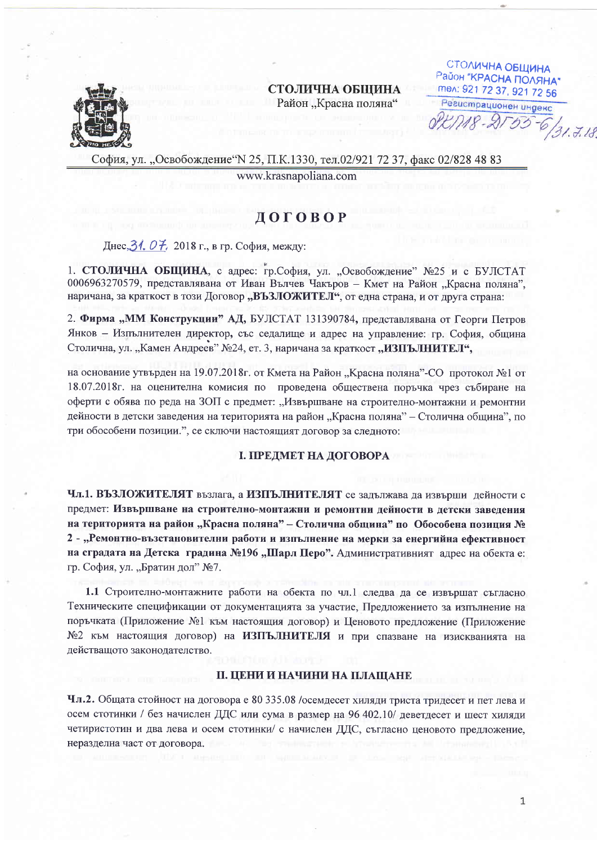

СТОЛИЧНА ОБЩИНА Район "Красна поляна"

СТОЛИЧНА ОБЩИНА Район "КРАСНА ПОЛЯНА" mex: 921 72 37, 921 72 56 Регистрационен индекс  $P - 955$  $6/31.7.18$ 

София, ул. "Освобождение"N 25, П.К.1330, тел.02/921 72 37, факс 02/828 48 83

www.krasnapoliana.com

# ДОГОВОР

Днес. 31. О 7. 2018 г., в гр. София, между:

1. СТОЛИЧНА ОБЩИНА, с адрес: гр.София, ул. "Освобождение" №25 и с БУЛСТАТ 0006963270579, представлявана от Иван Вълчев Чакъров - Кмет на Район "Красна поляна". наричана, за краткост в този Договор "ВЪЗЛОЖИТЕЛ", от една страна, и от друга страна:

2. Фирма "ММ Конструкции" АД, БУЛСТАТ 131390784, представлявана от Георги Петров Янков – Изпълнителен директор, със седалище и адрес на управление: гр. София, община Столична, ул. "Камен Андреев" №24, ет. 3, наричана за краткост "ИЗПЪЛНИТЕЛ",

на основание утвърден на 19.07.2018г. от Кмета на Район "Красна поляна"-СО протокол №1 от 18.07.2018 г. на оценителна комисия по проведена обществена поръчка чрез събиране на оферти с обява по реда на ЗОП с предмет: "Извършване на строително-монтажни и ремонтни дейности в детски заведения на територията на район "Красна поляна" – Столична община", по три обособени позиции.", се сключи настоящият договор за следното:

### І. ПРЕДМЕТ НА ДОГОВОРА

Чл.1. ВЪЗЛОЖИТЕЛЯТ възлага, а ИЗПЪЛНИТЕЛЯТ се задължава да извърши дейности с предмет: Извършване на строително-монтажни и ремонтни дейности в детски заведения на територията на район "Красна поляна" – Столична община" по Обособена позиция № 2 - "Ремонтно-възстановителни работи и изпълнение на мерки за енергийна ефективност на сградата на Детска градина №196 "Шарл Перо". Административният адрес на обекта е: гр. София, ул. "Братин дол" №7.

1.1 Строително-монтажните работи на обекта по чл.1 следва да се извършат съгласно Техническите спецификации от документацията за участие, Предложението за изпълнение на поръчката (Приложение №1 към настоящия договор) и Ценовото предложение (Приложение №2 към настоящия договор) на ИЗПЪЛНИТЕЛЯ и при спазване на изискванията на действащото законодателство.

# **II. ЦЕНИ И НАЧИНИ НА ПЛАЩАНЕ**

Чл.2. Общата стойност на договора е 80 335.08 /осемдесет хиляди триста тридесет и пет лева и осем стотинки / без начислен ДДС или сума в размер на 96 402.10/ деветдесет и шест хиляди четиристотин и два лева и осем стотинки/ с начислен ДДС, съгласно ценовото предложение, неразделна част от договора.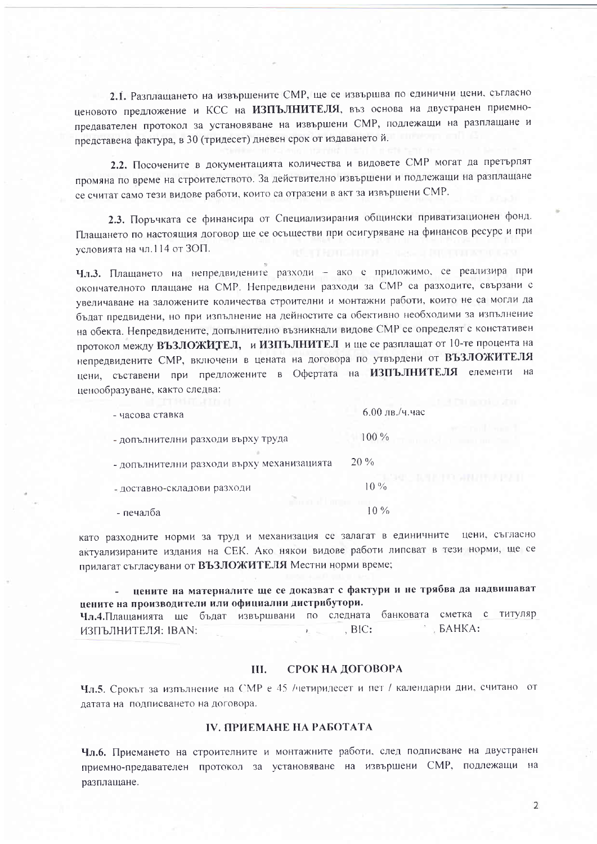2.1. Разплащането на извършените СМР, ще се извършва по единични цени, съгласно ценовото предложение и КСС на ИЗПЪЛНИТЕЛЯ, въз основа на двустранен приемнопредавателен протокол за установяване на извършени СМР, подлежащи на разплащане и представена фактура, в 30 (тридесет) дневен срок от издаването й.

2.2. Посочените в документацията количества и видовете СМР могат да претърпят промяна по време на строителството. За действително извършени и подлежащи на разплащане се считат само тези видове работи, които са отразени в акт за извършени СМР.

2.3. Поръчката се финансира от Специализирания общински приватизационен фонд. Плащането по настоящия договор ще се осъществи при осигуряване на финансов ресурс и при условията на чл.114 от ЗОП.

Чл.3. Плащането на непредвидените разходи - ако е приложимо, се реализира при окончателното плащане на СМР. Непредвидени разходи за СМР са разходите, свързани с увеличаване на заложените количества строителни и монтажни работи, които не са могли да бъдат предвидени, но при изпълнение на дейностите са обективно необходими за изпълнение на обекта. Непредвидените, допълнително възникнали видове СМР се определят с констативен протокол между ВЪЗЛОЖИТЕЛ, и ИЗПЪЛНИТЕЛ и ще се разплащат от 10-те процента на непредвидените СМР, включени в цената на договора по утвърдени от ВЪЗЛОЖИТЕЛЯ цени, съставени при предложените в Офертата на ИЗПЪЛНИТЕЛЯ елементи на ценообразуване, както следва:

| - часова ставка                            | $6.00$ лв./ч. час |
|--------------------------------------------|-------------------|
| - допълнителни разходи върху труда         | $100\%$           |
| - допълнителни разходи върху механизацията | $20\%$            |
| - доставно-складови разходи                | $10\%$            |
| - печалба                                  | 10 %              |

като разходните норми за труд и механизация се залагат в единичните цени, съгласно актуализираните издания на СЕК. Ако някои видове работи липсват в тези норми, ще се прилагат съгласувани от ВЪЗЛОЖИТЕЛЯ Местни норми време;

цените на материалите ще се доказват с фактури и не трябва да надвишават цените на производители или официални дистрибутори. Чл.4. Плащанията ще бъдат извършвани по следната банковата сметка с титуляр  $BAHKA$ :  $BIC:$ ИЗПЪЛНИТЕЛЯ: IBAN:

#### СРОК НА ДОГОВОРА **III.**

Чл.5. Срокът за изпълнение на СМР е 45 /четиридесет и пет / календарни дни, считано от датата на подписването на договора.

# **IV. ПРИЕМАНЕ НА РАБОТАТА**

Чл.6. Приемането на строителните и монтажните работи, след подписване на двустранен приемно-предавателен протокол за установяване на извършени СМР, подлежащи на разплащане.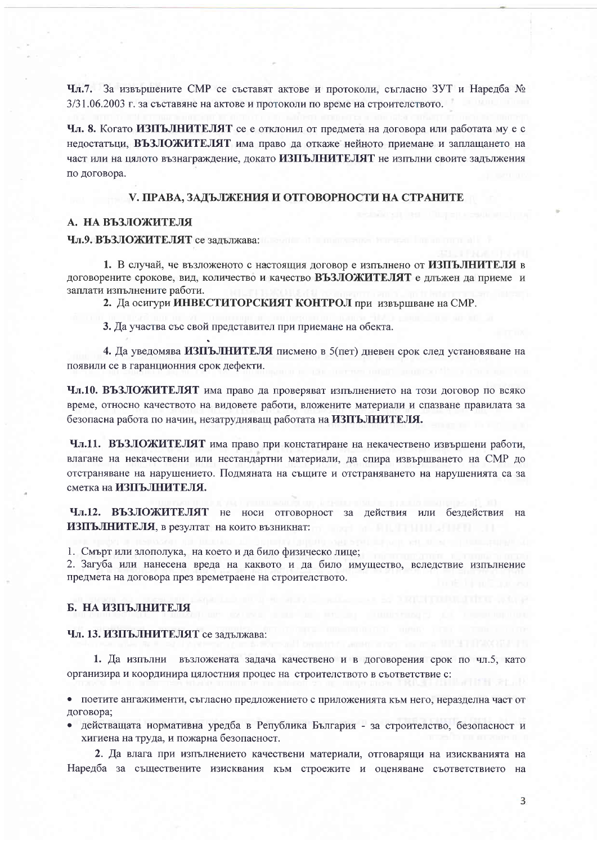Чл.7. За извършените СМР се съставят актове и протоколи, съгласно ЗУТ и Наредба № 3/31.06.2003 г. за съставяне на актове и протоколи по време на строителството.

Чл. 8. Когато ИЗПЪЛНИТЕЛЯТ се е отклонил от предмета на договора или работата му е с недостатьци, ВЪЗЛОЖИТЕЛЯТ има право да откаже нейното приемане и заплащането на част или на цялото възнаграждение, докато ИЗПЪЛНИТЕЛЯТ не изпълни своите задължения по договора.

#### V. ПРАВА, ЗАДЪЛЖЕНИЯ И ОТГОВОРНОСТИ НА СТРАНИТЕ

#### А. НА ВЪЗЛОЖИТЕЛЯ

#### Чл.9. ВЪЗЛОЖИТЕЛЯТ се залължава:

1. В случай, че възложеното с настоящия договор е изпълнено от ИЗПЪЛНИТЕЛЯ в договорените срокове, вид, количество и качество ВЪЗЛОЖИТЕЛЯТ е длъжен да приеме и заплати изпълнените работи.

2. Да осигури ИНВЕСТИТОРСКИЯТ КОНТРОЛ при извършване на СМР.

3. Да участва със свой представител при приемане на обекта.

4. Да уведомява ИЗПЪЛНИТЕЛЯ писмено в 5(пет) дневен срок след установяване на появили се в гаранционния срок дефекти.

Чл.10. ВЪЗЛОЖИТЕЛЯТ има право да проверяват изпълнението на този договор по всяко време, относно качеството на видовете работи, вложените материали и спазване правилата за безопасна работа по начин, незатрудняващ работата на ИЗПЪЛНИТЕЛЯ.

Чл.11. ВЪЗЛОЖИТЕЛЯТ има право при констатиране на некачествено извършени работи, влагане на некачествени или нестандартни материали, да спира извършването на СМР до отстраняване на нарушението. Подмяната на същите и отстраняването на нарушенията са за сметка на ИЗПЪЛНИТЕЛЯ.

Чл.12. ВЪЗЛОЖИТЕЛЯТ не носи отговорност за действия или бездействия на ИЗПЪЛНИТЕЛЯ, в резултат на които възникнат:

1. Смърт или злополука, на което и да било физическо лице;

2. Загуба или нанесена вреда на каквото и да било имущество, вследствие изпълнение предмета на договора през времетраене на строителството.

# Б. НА ИЗПЪЛНИТЕЛЯ

# Чл. 13. ИЗПЪЛНИТЕЛЯТ се задължава:

1. Да изпълни възложената задача качествено и в договорения срок по чл.5, като организира и координира цялостния процес на строителството в съответствие с:

• поетите ангажименти, съгласно предложението с приложенията към него, неразделна част от договора:

• действащата нормативна уредба в Република България - за строителство, безопасност и хигиена на труда, и пожарна безопасност.

2. Да влага при изпълнението качествени материали, отговарящи на изискванията на Наредба за съществените изисквания към строежите и оценяване съответствието на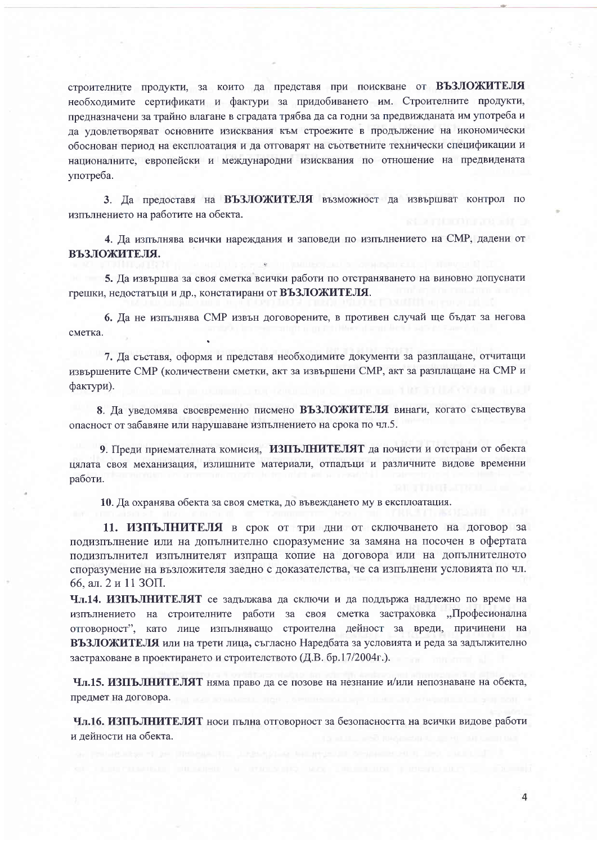строителните продукти, за които да представя при поискване от ВЪЗЛОЖИТЕЛЯ необходимите сертификати и фактури за придобиването им. Строителните продукти, предназначени за трайно влагане в сградата трябва да са годни за предвижданата им употреба и да удовлетворяват основните изисквания към строежите в продължение на икономически обоснован период на експлоатация и да отговарят на съответните технически спецификации и националните, европейски и международни изисквания по отношение на предвидената употреба.

3. Да предоставя на ВЪЗЛОЖИТЕЛЯ възможност да извършват контрол по изпълнението на работите на обекта.

4. Ла изпълнява всички нареждания и заповеди по изпълнението на СМР, дадени от ВЪЗЛОЖИТЕЛЯ.

5. Да извършва за своя сметка всички работи по отстраняването на виновно допуснати грешки, недостатыци и др., констатирани от ВЪЗЛОЖИТЕЛЯ.

6. Да не изпълнява СМР извън договорените, в противен случай ще бъдат за негова сметка.

7. Да съставя, оформя и представя необходимите документи за разплащане, отчитащи извършените СМР (количествени сметки, акт за извършени СМР, акт за разплащане на СМР и фактури).

8. Да уведомява своевременно писмено ВЪЗЛОЖИТЕЛЯ винаги, когато съществува опасност от забавяне или нарушаване изпълнението на срока по чл.5.

9. Преди приемателната комисия, ИЗПЪЛНИТЕЛЯТ да почисти и отстрани от обекта цялата своя механизация, излишните материали, отпадъци и различните видове временни работи.

10. Да охранява обекта за своя сметка, до въвеждането му в експлоатация.

11. ИЗПЪЛНИТЕЛЯ в срок от три дни от сключването на договор за подизпълнение или на допълнително споразумение за замяна на посочен в офертата подизпълнител изпълнителят изпраща копие на договора или на допълнителното споразумение на възложителя заедно с доказателства, че са изпълнени условията по чл. 66, ал. 2 и 11 ЗОП.

Чл.14. ИЗПЪЛНИТЕЛЯТ се задължава да сключи и да поддържа надлежно по време на изпълнението на строителните работи за своя сметка застраховка "Професионална отговорност", като лице изпълняващо строителна дейност за вреди, причинени на ВЪЗЛОЖИТЕЛЯ или на трети лица, съгласно Наредбата за условията и реда за задължително застраховане в проектирането и строителството (Д.В. бр.17/2004г.).

Чл.15. ИЗПЪЛНИТЕЛЯТ няма право да се позове на незнание и/или непознаване на обекта, предмет на договора.

Чл.16. ИЗПЪЛНИТЕЛЯТ носи пълна отговорност за безопасността на всички видове работи и лейности на обекта.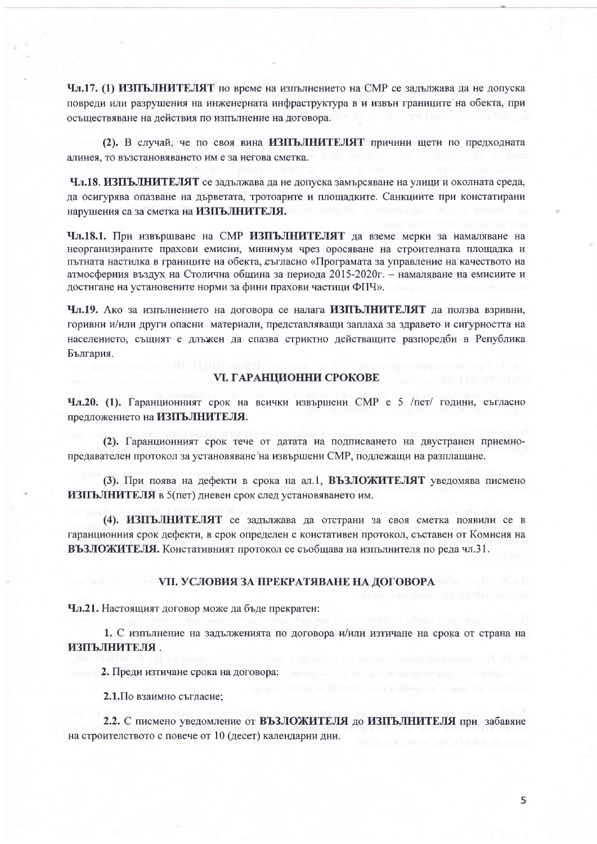Чл.17. (1) ИЗПЪЛНИТЕЛЯТ по време на изпълнението на СМР се задължава да не допуска повреди или разрушения на инженерната инфраструктура в и извън границите на обекта, при осъществяване на действия по изпълнение на договора.

(2). В случай, че по своя вина ИЗПЪЛНИТЕЛЯТ причини щети по предходната алинея, то възстановяването им е за негова сметка.

Чл.18. ИЗПЪЛНИТЕЛЯТ се задължава да не допуска замърсяване на улици и околната среда, да осигурява опазване на дърветата, тротоарите и площадките. Санкциите при констатирани нарушения са за сметка на ИЗПЪЛНИТЕЛЯ.

Чл.18.1. При извършване на СМР ИЗПЪЛНИТЕЛЯТ да вземе мерки за намаляване на неорганизираните прахови емисии, минимум чрез оросяване на строителната площадка и пътната настилка в границите на обекта, съгласно «Програмата за управление на качеството на атмосферния въздух на Столична община за периода 2015-2020г. – намаляване на емисиите и достигане на установените норми за фини прахови частици ФПЧ».

Чл.19. Ако за изпълнението на договора се налага ИЗПЪЛНИТЕЛЯТ да ползва взривни, горивни и/или други опасни материали, представляващи заплаха за здравето и сигурността на населението, същият е длъжен да спазва стриктно действащите разпоредби в Република България.

#### **VI. ГАРАНЦИОННИ СРОКОВЕ**

Чл.20. (1). Гаранционният срок на всички извършени СМР е 5 /пет/ години, съгласно предложението на ИЗПЪЛНИТЕЛЯ.

(2). Гаранционният срок тече от датата на подписването на двустранен приемнопредавателен протокол за установяване на извършени СМР, подлежащи на разплащане.

(3). При поява на дефекти в срока на ал.1, ВЪЗЛОЖИТЕЛЯТ уведомява писмено ИЗПЪЛНИТЕЛЯ в 5(пет) дневен срок след установяването им.

(4). ИЗПЪЛНИТЕЛЯТ се задължава да отстрани за своя сметка появили се в гаранционния срок дефекти, в срок определен с констативен протокол, съставен от Комисия на ВЪЗЛОЖИТЕЛЯ. Констативният протокол се съобщава на изпълнителя по реда чл.31.

#### **VII. УСЛОВИЯ ЗА ПРЕКРАТЯВАНЕ НА ДОГОВОРА**

Чл.21. Настоящият договор може да бъде прекратен:

1. С изпълнение на задълженията по договора и/или изтичане на срока от страна на ИЗПЪЛНИТЕЛЯ.

2. Преди изтичане срока на договора:

2.1. По взаимно съгласие;

2.2. С писмено уведомление от ВЪЗЛОЖИТЕЛЯ до ИЗПЪЛНИТЕЛЯ при забавяне на строителството с повече от 10 (десет) календарни дни.

5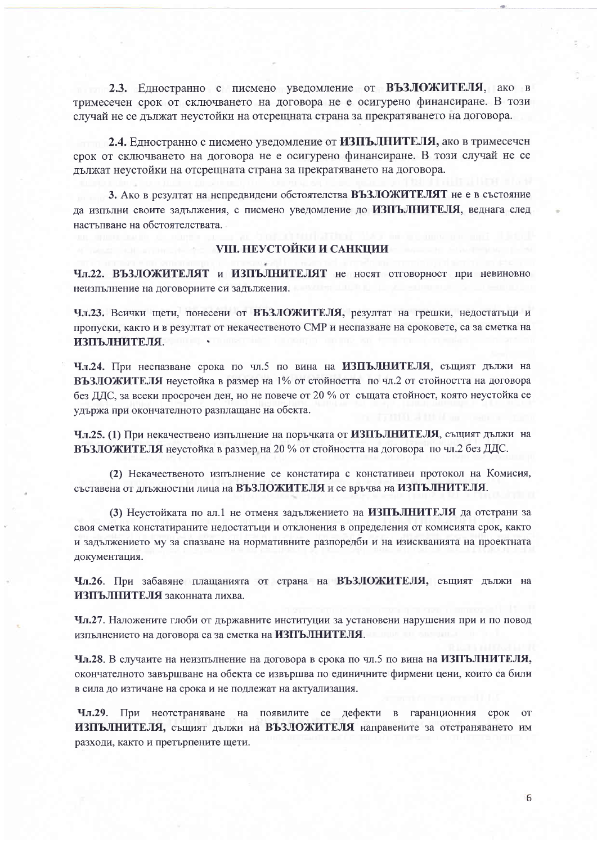2.3. Едностранно с писмено уведомление от ВЪЗЛОЖИТЕЛЯ, ако в тримесечен срок от сключването на договора не е осигурено финансиране. В този случай не се дължат неустойки на отсрещната страна за прекратяването на договора.

2.4. Едностранно с писмено уведомление от ИЗПЪЛНИТЕЛЯ, ако в тримесечен срок от сключването на договора не е осигурено финансиране. В този случай не се дължат неустойки на отсрещната страна за прекратяването на договора.

3. Ако в резултат на непредвидени обстоятелства ВЪЗЛОЖИТЕЛЯТ не е в състояние да изпълни своите задължения, с писмено уведомление до ИЗПЪЛНИТЕЛЯ, веднага след настъпване на обстоятелствата.

# **VIII. НЕУСТОЙКИ И САНКЦИИ**

Чл.22. ВЪЗЛОЖИТЕЛЯТ и ИЗПЪЛНИТЕЛЯТ не носят отговорност при невиновно неизпълнение на договорните си задължения.

Чл.23. Всички щети, понесени от ВЪЗЛОЖИТЕЛЯ, резултат на грешки, недостатъци и пропуски, както и в резултат от некачественото СМР и неспазване на сроковете, са за сметка на ИЗПЪЛНИТЕЛЯ.

Чл.24. При неспазване срока по чл.5 по вина на ИЗПЪЛНИТЕЛЯ, същият дължи на ВЪЗЛОЖИТЕЛЯ неустойка в размер на 1% от стойността по чл.2 от стойността на договора без ДДС, за всеки просрочен ден, но не повече от 20 % от същата стойност, която неустойка се удържа при окончателното разплащане на обекта.

Чл.25. (1) При некачествено изпълнение на поръчката от ИЗПЪЛНИТЕЛЯ, същият дължи на ВЪЗЛОЖИТЕЛЯ неустойка в размер на 20 % от стойността на договора по чл.2 без ДДС.

(2) Некачественото изпълнение се констатира с констативен протокол на Комисия, съставена от длъжностни лица на ВЪЗЛОЖИТЕЛЯ и се връчва на ИЗПЪЛНИТЕЛЯ.

(3) Неустойката по ал.1 не отменя задължението на ИЗПЪЛНИТЕЛЯ да отстрани за своя сметка констатираните недостатъци и отклонения в определения от комисията срок, както и задължението му за спазване на нормативните разпоредби и на изискванията на проектната документация.

Чл.26. При забавяне плащанията от страна на ВЪЗЛОЖИТЕЛЯ, същият дължи на ИЗПЪЛНИТЕЛЯ законната лихва.

Чл.27. Наложените глоби от държавните институции за установени нарушения при и по повод изпълнението на договора са за сметка на ИЗПЪЛНИТЕЛЯ.

Чл.28. В случаите на неизпълнение на договора в срока по чл.5 по вина на ИЗПЪЛНИТЕЛЯ, окончателното завършване на обекта се извършва по единичните фирмени цени, които са били в сила до изтичане на срока и не подлежат на актуализация.

Чл.29. При неотстраняване на появилите се дефекти в гаранционния срок от ИЗПЪЛНИТЕЛЯ, същият дължи на ВЪЗЛОЖИТЕЛЯ направените за отстраняването им разходи, както и претърпените щети.

6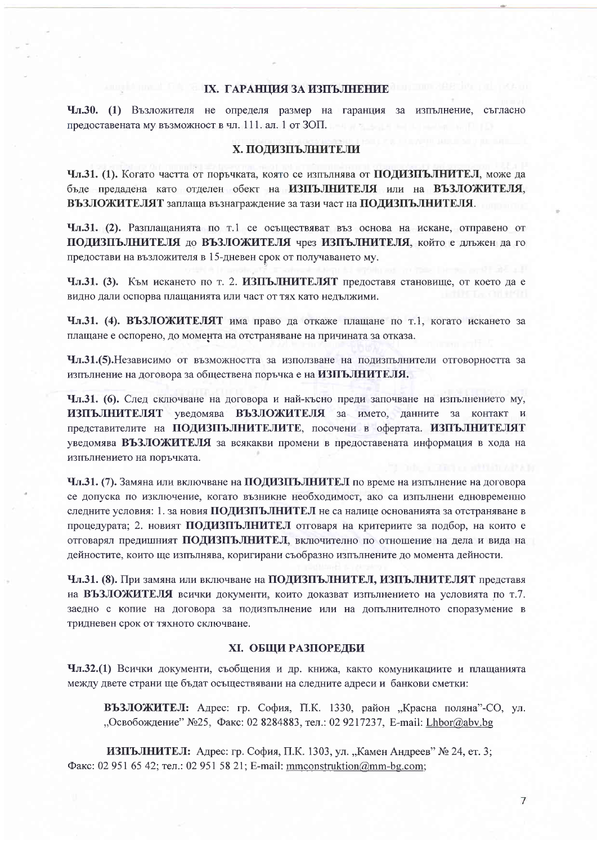### **IX. ГАРАНЦИЯ ЗА ИЗПЪЛНЕНИЕ**

Чл.30. (1) Възложителя не определя размер на гаранция за изпълнение, съгласно предоставената му възможност в чл. 111. ал. 1 от ЗОП.

# Х. ПОДИЗПЪЛНИТЕЛИ

Чл.31. (1). Когато частта от поръчката, която се изпълнява от ПОДИЗПЪЛНИТЕЛ, може да бъде предадена като отделен обект на ИЗПЪЛНИТЕЛЯ или на ВЪЗЛОЖИТЕЛЯ, ВЪЗЛОЖИТЕЛЯТ заплаща възнаграждение за тази част на ПОДИЗПЪЛНИТЕЛЯ.

Чл.31. (2). Разплащанията по т.1 се осъществяват въз основа на искане, отправено от ПОДИЗПЪЛНИТЕЛЯ до ВЪЗЛОЖИТЕЛЯ чрез ИЗПЪЛНИТЕЛЯ, който е длъжен да го предостави на възложителя в 15-дневен срок от получаването му.

Чл.31. (3). Към искането по т. 2. ИЗПЪЛНИТЕЛЯТ предоставя становище, от което да е видно дали оспорва плащанията или част от тях като недължими.

Чл.31. (4). ВЪЗЛОЖИТЕЛЯТ има право да откаже плащане по т.1, когато искането за плащане е оспорено, до момента на отстраняване на причината за отказа.

Чл.31.(5). Независимо от възможността за използване на полизпълнители отговорността за изпълнение на договора за обществена поръчка е на ИЗПЪЛНИТЕЛЯ.

Чл.31. (6). След сключване на договора и най-късно преди започване на изпълнението му, ИЗПЪЛНИТЕЛЯТ увеломява ВЪЗЛОЖИТЕЛЯ за името, данните за контакт и представителите на ПОДИЗПЪЛНИТЕЛИТЕ, посочени в офертата. ИЗПЪЛНИТЕЛЯТ уведомява ВЪЗЛОЖИТЕЛЯ за всякакви промени в предоставената информация в хода на изпълнението на поръчката.

Чл.31. (7). Замяна или включване на ПОДИЗПЪЛНИТЕЛ по време на изпълнение на договора се допуска по изключение, когато възникне необходимост, ако са изпълнени едновременно следните условия: 1. за новия ПОЛИЗПЪЛНИТЕЛ не са налице основанията за отстраняване в процедурата; 2. новият ПОДИЗПЪЛНИТЕЛ отговаря на критериите за подбор, на които е отговарял предишният ПОДИЗПЪЛНИТЕЛ, включително по отношение на дела и вида на дейностите, които ще изпълнява, коригирани съобразно изпълнените до момента дейности.

Чл.31. (8). При замяна или включване на ПОДИЗПЪЛНИТЕЛ, ИЗПЪЛНИТЕЛЯТ представя на ВЪЗЛОЖИТЕЛЯ всички документи, които доказват изпълнението на условията по т.7. заедно с копие на договора за подизпълнение или на допълнителното споразумение в тридневен срок от тяхното сключване.

## ХІ. ОБЩИ РАЗПОРЕДБИ

Чл.32.(1) Всички документи, съобщения и др. книжа, както комуникациите и плащанията между двете страни ще бъдат осъществявани на следните адреси и банкови сметки:

ВЪЗЛОЖИТЕЛ: Адрес: гр. София, П.К. 1330, район "Красна поляна"-СО, ул. "Освобождение" №25, Факс: 02 8284883, тел.: 02 9217237, E-mail: Lhbor@abv.bg

ИЗПЪЛНИТЕЛ: Адрес: гр. София, П.К. 1303, ул. "Камен Андреев" № 24, ет. 3; Факс: 02 951 65 42; тел.: 02 951 58 21; E-mail: mmconstruktion@mm-bg.com;